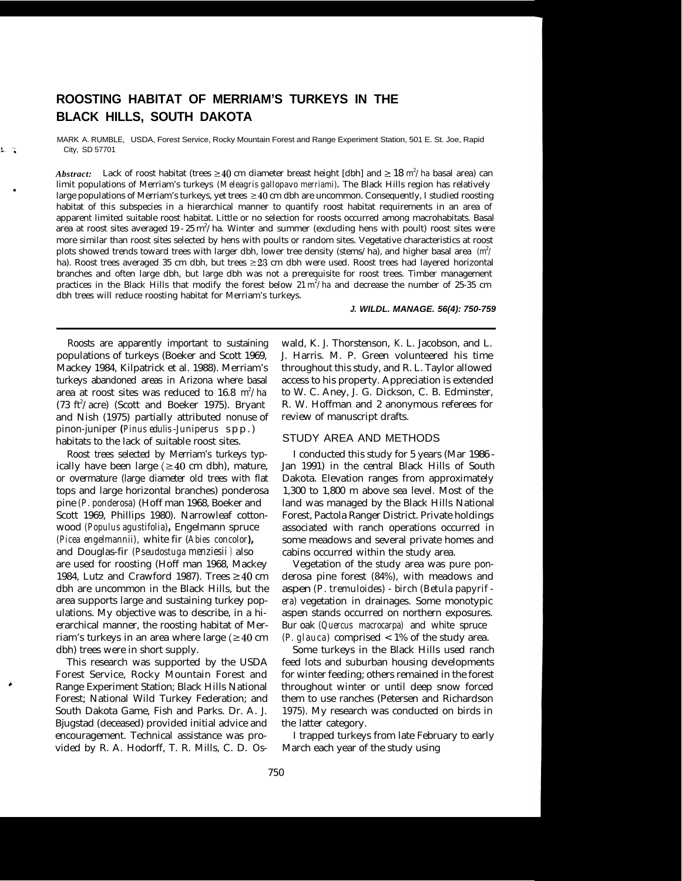# **ROOSTING HABITAT OF MERRIAM'S TURKEYS IN THE BLACK HILLS, SOUTH DAKOTA**

MARK A. RUMBLE, USDA, Forest Service, Rocky Mountain Forest and Range Experiment Station, 501 E. St. Joe, Rapid City, SD 57701

Abstract: Lack of roost habitat (trees  $\geq 40$  cm diameter breast height [dbh] and  $\geq 18$  m<sup>2</sup>/ha basal area) can limit populations of Merriam's turkeys *(Meleagris gallopavo merriami).* The Black Hills region has relatively large populations of Merriam's turkeys, yet trees  $\geq 40$  cm dbh are uncommon. Consequently, I studied roosting habitat of this subspecies in a hierarchical manner to quantify roost habitat requirements in an area of apparent limited suitable roost habitat. Little or no selection for roosts occurred among macrohabitats. Basal area at roost sites averaged 19 - 25 m<sup>2</sup>/ha. Winter and summer (excluding hens with poult) roost sites were more similar than roost sites selected by hens with poults or random sites. Vegetative characteristics at roost plots showed trends toward trees with larger dbh, lower tree density (stems/ha), and higher basal area  $(m^2/m^2)$ ha). Roost trees averaged 35 cm dbh, but trees 223 cm dbh were used. Roost trees had layered horizontal branches and often large dbh, but large dbh was not a prerequisite for roost trees. Timber management practices in the Black Hills that modify the forest below  $21 \text{ m}^2/\text{ha}$  and decrease the number of 25-35 cm dbh trees will reduce roosting habitat for Merriam's turkeys.

#### *J. WILDL. MANAGE. 56(4): 750-759*

Roosts are apparently important to sustaining populations of turkeys (Boeker and Scott 1969, Mackey 1984, Kilpatrick et al. 1988). Merriam's turkeys abandoned areas in Arizona where basal area at roost sites was reduced to  $16.8\,$  m $^2/\rm{ha}$  $(73 \text{ ft}^2/\text{acre})$  (Scott and Boeker 1975). Bryant and Nish (1975) partially attributed nonuse of pinon-juniper *(Pinus edulis -Juniperus* spp.) habitats to the lack of suitable roost sites.

Roost trees selected by Merriam's turkeys typically have been large ( $\geq$ 40 cm dbh), mature, or overmature (large diameter old trees with flat tops and large horizontal branches) ponderosa pine *(P. ponderosa)* (Hoff man 1968, Boeker and Scott 1969, Phillips 1980). Narrowleaf cottonwood *(Populus agustifolia),* Engelmann spruce *(Picea engelmannii),* white fir (*Abies concolor),* and Douglas-fir *(Pseudostuga menziesii )* also are used for roosting (Hoff man 1968, Mackey 1984, Lutz and Crawford 1987). Trees  $\geq 40$  cm dbh are uncommon in the Black Hills, but the area supports large and sustaining turkey populations. My objective was to describe, in a hierarchical manner, the roosting habitat of Merriam's turkeys in an area where large ( $\geq$ 40 cm dbh) trees were in short supply.

This research was supported by the USDA Forest Service, Rocky Mountain Forest and Range Experiment Station; Black Hills National Forest; National Wild Turkey Federation; and South Dakota Game, Fish and Parks. Dr. A. J. Bjugstad (deceased) provided initial advice and encouragement. Technical assistance was provided by R. A. Hodorff, T. R. Mills, C. D. Os-

wald, K. J. Thorstenson, K. L. Jacobson, and L. J. Harris. M. P. Green volunteered his time throughout this study, and R. L. Taylor allowed access to his property. Appreciation is extended to W. C. Aney, J. G. Dickson, C. B. Edminster, R. W. Hoffman and 2 anonymous referees for review of manuscript drafts.

#### STUDY AREA AND METHODS

I conducted this study for 5 years (Mar 1986 - Jan 1991) in the central Black Hills of South Dakota. Elevation ranges from approximately 1,300 to 1,800 m above sea level. Most of the land was managed by the Black Hills National Forest, Pactola Ranger District. Private holdings associated with ranch operations occurred in some meadows and several private homes and cabins occurred within the study area.

Vegetation of the study area was pure ponderosa pine forest (84%), with meadows and aspen *(P. tremuloides) - birch (Betula papyrif era)* vegetation in drainages. Some monotypic aspen stands occurred on northern exposures. Bur oak *(Quercus macrocarpa)* and white spruce *(P. glauca)* comprised < 1% of the study area.

Some turkeys in the Black Hills used ranch feed lots and suburban housing developments for winter feeding; others remained in the forest throughout winter or until deep snow forced them to use ranches (Petersen and Richardson 1975). My research was conducted on birds in the latter category.

I trapped turkeys from late February to early March each year of the study using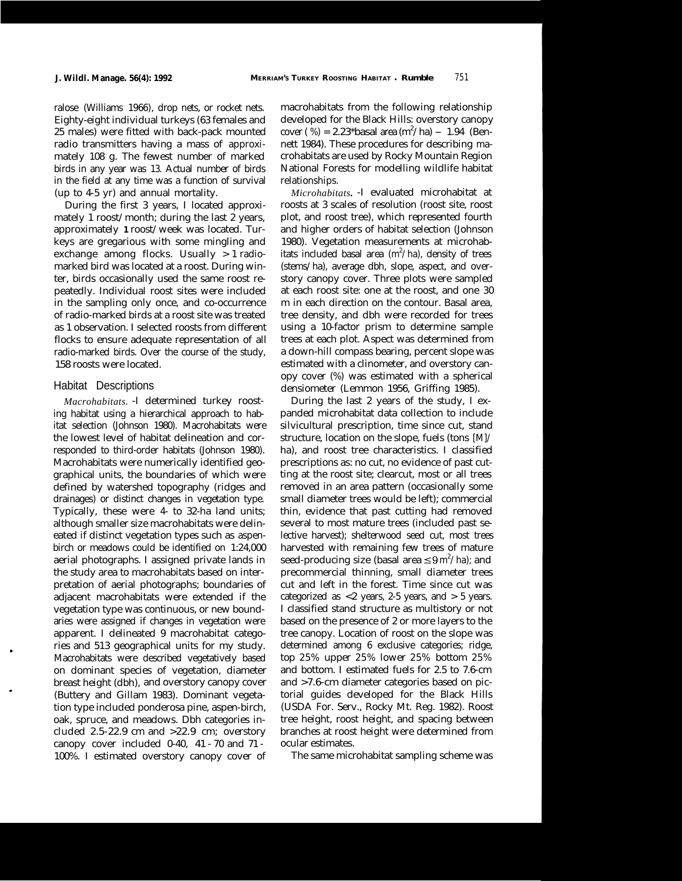ralose (Williams 1966), drop nets, or rocket nets. Eighty-eight individual turkeys (63 females and 25 males) were fitted with back-pack mounted radio transmitters having a mass of approximately 108 g. The fewest number of marked birds in any year was 13. Actual number of birds in the field at any time was a function of survival (up to 4-5 yr) and annual mortality.

During the first 3 years, I located approximately 1 roost/month; during the last 2 years, approximately **1** roost/week was located. Turkeys are gregarious with some mingling and exchange among flocks. Usually > 1 radiomarked bird was located at a roost. During winter, birds occasionally used the same roost repeatedly. Individual roost sites were included in the sampling only once, and co-occurrence of radio-marked birds at a roost site was treated as 1 observation. I selected roosts from different flocks to ensure adequate representation of all radio-marked birds. Over the course of the study, 158 roosts were located.

# Habitat Descriptions

*Macrohabitats.* -I determined turkey roosting habitat using a hierarchical approach to habitat selection (Johnson 1980). Macrohabitats were the lowest level of habitat delineation and corresponded to third-order habitats (Johnson 1980). Macrohabitats were numerically identified geographical units, the boundaries of which were defined by watershed topography (ridges and drainages) or distinct changes in vegetation type. Typically, these were 4- to 32-ha land units; although smaller size macrohabitats were delineated if distinct vegetation types such as aspenbirch or meadows could be identified on 1:24,000 aerial photographs. I assigned private lands in the study area to macrohabitats based on interpretation of aerial photographs; boundaries of adjacent macrohabitats were extended if the vegetation type was continuous, or new boundaries were assigned if changes in vegetation were apparent. I delineated 9 macrohabitat categories and 513 geographical units for my study. Macrohabitats were described vegetatively based on dominant species of vegetation, diameter breast height (dbh), and overstory canopy cover (Buttery and Gillam 1983). Dominant vegetation type included ponderosa pine, aspen-birch, oak, spruce, and meadows. Dbh categories included  $2.5-22.9$  cm and  $>22.9$  cm; overstory canopy cover included 0-40, 41 - 70 and 71 - 100%. I estimated overstory canopy cover of macrohabitats from the following relationship developed for the Black Hills: overstory canopy developed for the black Films. Overstory can<br>oper  $(\% ) = 2.23*$ basal area  $(m^2/ha) - 1.94$  (Bennett 1984). These procedures for describing macrohabitats are used by Rocky Mountain Region National Forests for modelling wildlife habitat relationships.

*Microhabitats.* -I evaluated microhabitat at roosts at 3 scales of resolution (roost site, roost plot, and roost tree), which represented fourth and higher orders of habitat selection (Johnson 1980). Vegetation measurements at microhabitats included basal area  $(m^2/ha)$ , density of trees (stems/ha), average dbh, slope, aspect, and overstory canopy cover. Three plots were sampled at each roost site: one at the roost, and one 30 m in each direction on the contour. Basal area, tree density, and dbh were recorded for trees using a 10-factor prism to determine sample trees at each plot. Aspect was determined from a down-hill compass bearing, percent slope was estimated with a clinometer, and overstory canopy cover (%) was estimated with a spherical densiometer (Lemmon 1956, Griffing 1985).

During the last 2 years of the study, I expanded microhabitat data collection to include silvicultural prescription, time since cut, stand structure, location on the slope, fuels (tons [M]/ ha), and roost tree characteristics. I classified prescriptions as: no cut, no evidence of past cutting at the roost site; clearcut, most or all trees removed in an area pattern (occasionally some small diameter trees would be left); commercial thin, evidence that past cutting had removed several to most mature trees (included past selective harvest); shelterwood seed cut, most trees harvested with remaining few trees of mature seed-producing size (basal area  ${\leq}9\,\text{m}^2/\text{ha}$ ); and precommercial thinning, small diameter trees cut and left in the forest. Time since cut was categorized as  $<2$  years, 2-5 years, and  $>5$  years. I classified stand structure as multistory or not based on the presence of 2 or more layers to the tree canopy. Location of roost on the slope was determined among 6 exclusive categories; ridge, top 25% upper 25% lower 25% bottom 25% and bottom. I estimated fuels for 2.5 to 7.6-cm and >7.6-cm diameter categories based on pictorial guides developed for the Black Hills (USDA For. Serv., Rocky Mt. Reg. 1982). Roost tree height, roost height, and spacing between branches at roost height were determined from ocular estimates.

The same microhabitat sampling scheme was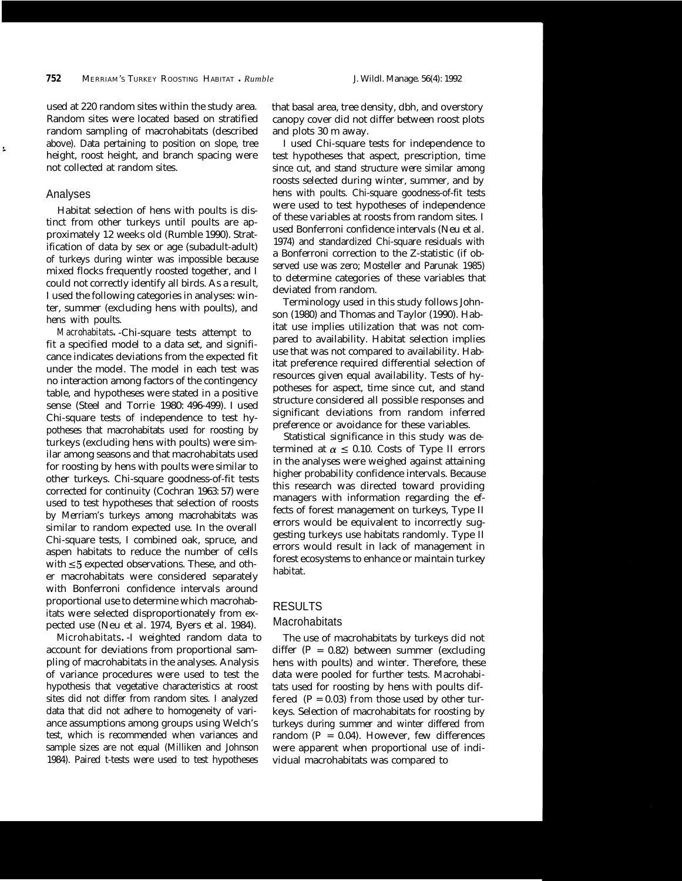used at 220 random sites within the study area. that basal area, tree density, dbh, and overstory random sampling of macrohabitats (described and plots 30 m away. above). Data pertaining to position on slope, tree height, roost height, and branch spacing were not collected at random sites.

## Analyses

ś

Habitat selection of hens with poults is distinct from other turkeys until poults are approximately 12 weeks old (Rumble 1990). Stratification of data by sex or age (subadult-adult) of turkeys during winter was impossible because mixed flocks frequently roosted together, and I could not correctly identify all birds. As a result, I used the following categories in analyses: winter, summer (excluding hens with poults), and hens with poults.

*Macrohabitats.* -Chi-square tests attempt to fit a specified model to a data set, and significance indicates deviations from the expected fit under the model. The model in each test was no interaction among factors of the contingency table, and hypotheses were stated in a positive sense (Steel and Torrie 1980: 496-499). I used Chi-square tests of independence to test hypotheses that macrohabitats used for roosting by turkeys (excluding hens with poults) were similar among seasons and that macrohabitats used for roosting by hens with poults were similar to other turkeys. Chi-square goodness-of-fit tests corrected for continuity (Cochran 1963: 57) were used to test hypotheses that selection of roosts by Merriam's turkeys among macrohabitats was similar to random expected use. In the overall Chi-square tests, I combined oak, spruce, and aspen habitats to reduce the number of cells with  $\leq$ 5 expected observations. These, and other macrohabitats were considered separately with Bonferroni confidence intervals around proportional use to determine which macrohabitats were selected disproportionately from expected use (Neu et al. 1974, Byers et al. 1984).

Microhabitats*.* -I weighted random data to account for deviations from proportional sampling of macrohabitats in the analyses. Analysis of variance procedures were used to test the hypothesis that vegetative characteristics at roost sites did not differ from random sites. I analyzed data that did not adhere to homogeneity of variance assumptions among groups using Welch's test, which is recommended when variances and sample sizes are not equal (Milliken and Johnson 1984). Paired t-tests were used to test hypotheses

Random sites were located based on stratified canopy cover did not differ between roost plots

I used Chi-square tests for independence to test hypotheses that aspect, prescription, time since cut, and stand structure were similar among roosts selected during winter, summer, and by hens with poults. Chi-square goodness-of-fit tests were used to test hypotheses of independence of these variables at roosts from random sites. I used Bonferroni confidence intervals (Neu et al. 1974) and standardized Chi-square residuals with a Bonferroni correction to the Z-statistic (if observed use was zero; Mosteller and Parunak 1985) to determine categories of these variables that deviated from random.

Terminology used in this study follows Johnson (1980) and Thomas and Taylor (1990). Habitat use implies utilization that was not compared to availability. Habitat selection implies use that was not compared to availability. Habitat preference required differential selection of resources given equal availability. Tests of hypotheses for aspect, time since cut, and stand structure considered all possible responses and significant deviations from random inferred preference or avoidance for these variables.

Statistical significance in this study was determined at  $\alpha \leq 0.10$ . Costs of Type II errors in the analyses were weighed against attaining higher probability confidence intervals. Because this research was directed toward providing managers with information regarding the effects of forest management on turkeys, Type II errors would be equivalent to incorrectly suggesting turkeys use habitats randomly. Type II errors would result in lack of management in forest ecosystems to enhance or maintain turkey habitat.

# RESULTS

# **Macrohabitats**

The use of macrohabitats by turkeys did not differ  $(P = 0.82)$  between summer (excluding hens with poults) and winter. Therefore, these data were pooled for further tests. Macrohabitats used for roosting by hens with poults differed  $(P = 0.03)$  from those used by other turkeys. Selection of macrohabitats for roosting by turkeys during summer and winter differed from random ( $P = 0.04$ ). However, few differences were apparent when proportional use of individual macrohabitats was compared to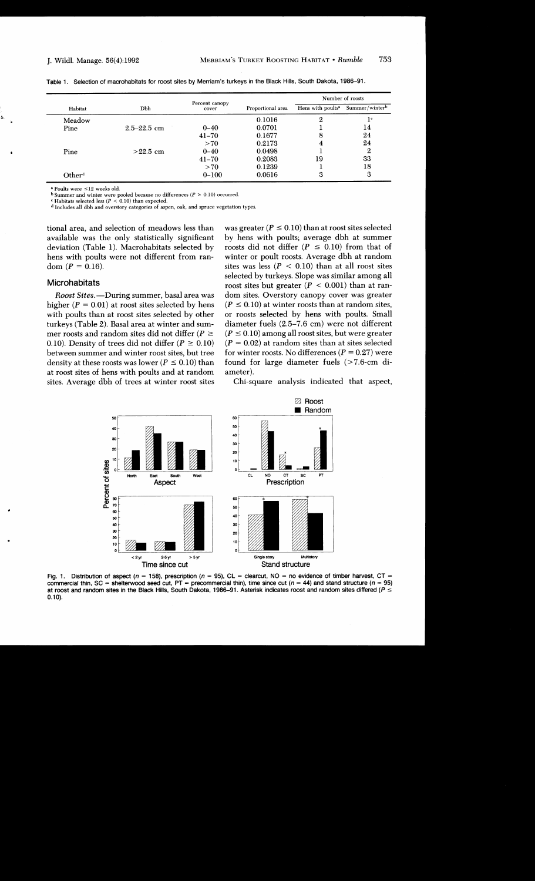|                 |                 |                         |                   |                               | Number of roosts |
|-----------------|-----------------|-------------------------|-------------------|-------------------------------|------------------|
| Habitat         | Dbh             | Percent canopy<br>cover | Proportional area | Hens with poults <sup>a</sup> | Summer/winterb   |
| Meadow          |                 |                         | 0.1016            | 2                             | 1°               |
| Pine            | $2.5 - 22.5$ cm | $0 - 40$                | 0.0701            |                               | 14               |
|                 |                 | $41 - 70$               | 0.1677            | 8                             | 24               |
|                 |                 | >70                     | 0.2173            | 4                             | 24               |
| Pine            | $>22.5$ cm      | $0 - 40$                | 0.0498            |                               | 2                |
|                 |                 | $41 - 70$               | 0.2083            | 19                            | 33               |
|                 |                 | >70                     | 0.1239            |                               | 18               |
| $\rm Other^{d}$ |                 | $0 - 100$               | 0.0616            | 3                             | 3                |

|  | Table 1. Selection of macrohabitats for roost sites by Merriam's turkeys in the Black Hills, South Dakota, 1986–91 |  |  |  |  |
|--|--------------------------------------------------------------------------------------------------------------------|--|--|--|--|
|--|--------------------------------------------------------------------------------------------------------------------|--|--|--|--|

<sup>a</sup> Poults were ≤12 weeks old.

b Summer and winter were pooled because no differences ( $P \ge 0.10$ ) occurred.

<sup>c</sup> Habitats selected less ( $P < 0.10$ ) than expected.

<sup>d</sup> Includes all dbh and overstory categories of aspen, oak, and spruce vegetation types.

tional area, and selection of meadows less than available was the only statistically significant deviation (Table 1). Macrohabitats selected by hens with poults were not different from random  $(P = 0.16)$ .

#### Microhabitats

Roost Sites.-During summer, basal area was higher ( $P = 0.01$ ) at roost sites selected by hens with poults than at roost sites selected by other turkeys (Table 2). Basal area at winter and summer roosts and random sites did not differ ( $P \ge$ 0.10). Density of trees did not differ ( $P \ge 0.10$ ) between summer and winter roost sites, but tree density at these roosts was lower ( $P \le 0.10$ ) than at roost sites of hens with poults and at random sites. Average dbh of trees at winter roost sites

was greater ( $P \le 0.10$ ) than at roost sites selected by hens with poults; average dbh at summer roosts did not differ ( $P \leq 0.10$ ) from that of winter or poult roosts. Average dbh at random sites was less ( $P < 0.10$ ) than at all roost sites selected by turkeys. Slope was similar among all roost sites but greater ( $P < 0.001$ ) than at random sites. Overstory canopy cover was greater  $(P \le 0.10)$  at winter roosts than at random sites, or roosts selected by hens with poults. Small diameter fuels (2.5–7.6 cm) were not different  $(P \le 0.10)$  among all roost sites, but were greater  $(P = 0.02)$  at random sites than at sites selected for winter roosts. No differences  $(P = 0.27)$  were found for large diameter fuels  $(>7.6cm$  diameter).

Chi-square analysis indicated that aspect,



Fig. 1. Distribution of aspect ( $n = 158$ ), prescription ( $n = 95$ ), CL = clearcut, NO = no evidence of timber harvest, CT = commercial thin, SC = shelterwood seed cut, PT = precommercial thin), time since cut ( $n = 44$ ) and stand structure ( $n = 95$ ) at roost and random sites in the Black Hills, South Dakota, 1986–91. Asterisk indicates roost and random sites differed ( $P \leq$  $0.10$ ).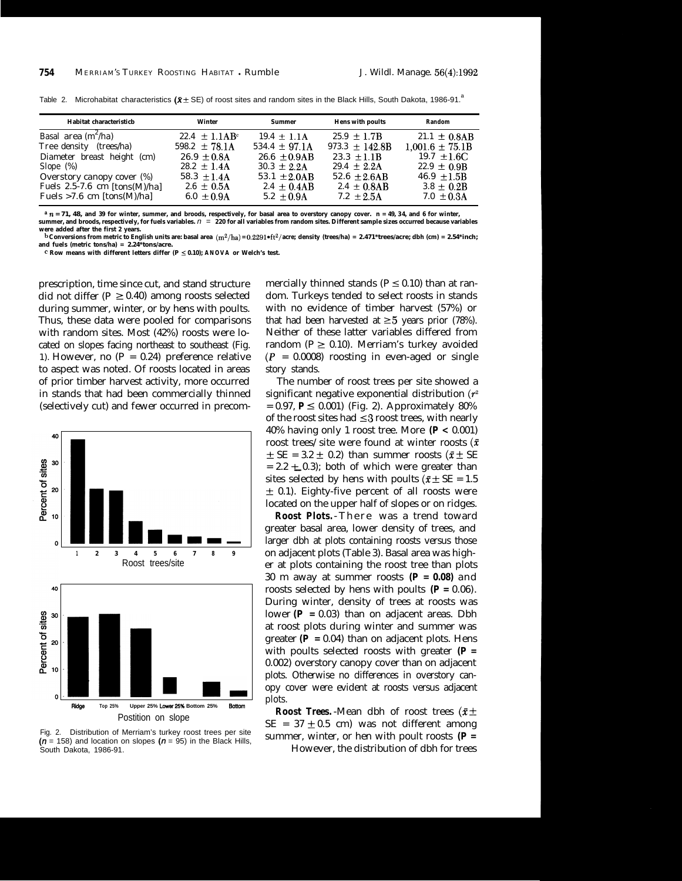| Habitat characteristicb           | Winter                      | <b>Summer</b>      | <b>Hens with poults</b> | Random              |
|-----------------------------------|-----------------------------|--------------------|-------------------------|---------------------|
| Basal area $(m^2/ha)$             | $22.4 + 1.1AB$ <sup>c</sup> | $19.4 \pm 1.1$ A   | $25.9 \pm 1.7B$         | $21.1 \pm 0.8AB$    |
| Tree density<br>(trees/ha)        | 598.2 $\pm$ 78.1A           | $534.4 \pm 97.1$ A | 973.3 $\pm$ 142.8B      | $1,001.6 \pm 75.1B$ |
| Diameter breast height (cm)       | $26.9 + 0.8A$               | $26.6 \pm 0.9AB$   | $23.3 \pm 1.1B$         | $19.7 \pm 1.6$ C    |
| Slope $(\%)$                      | $28.2 \pm 1.4$ A            | $30.3 \pm 2.2$ A   | $29.4 \pm 2.2$ A        | $22.9 \pm 0.9B$     |
| Overstory canopy cover (%)        | $58.3 + 1.4A$               | 53.1 $\pm 2.0AB$   | $52.6 \pm 2.6AB$        | $46.9 \pm 1.5B$     |
| Fuels $2.5-7.6$ cm $[tons(M)/ha]$ | $2.6 \pm 0.5$ A             | $2.4 \pm 0.4AB$    | $2.4 \pm 0.8AB$         | $3.8 \pm 0.2B$      |
| Fuels $>7.6$ cm [tons(M)/ha]      | $6.0 \pm 0.9$ A             | $5.2 \pm 0.9$ A    | $7.2 + 2.5A$            | $7.0 \pm 0.3$ A     |

Table 2. Microhabitat characteristics  $(R \pm SE)$  of roost sites and random sites in the Black Hills, South Dakota, 1986-91.

 $^{\text{a}}$   $n$  = 71, 48, and 39 for winter, summer, and broods, respectively, for basal area to overstory canopy cover.  $\text{n}$  = 49, 34, and 6 for winter, summer, and broods, respectively, for fuels variables.  $n$  = 220 for **were added after the first 2 years.**

**b** Conversions from metric to English units are: basal area  $(m^2/ha) = 0.2291*ft^2/$  are; density (trees/ha) = 2.471\*trees/acre; dbh (cm) = 2.54\*inch;**and fuels (metric tons/ha) = 2.24\*tons/acre.**

 $c$  Row means with different letters differ ( $P \le 0.10$ ); ANOVA or Welch's test.

prescription, time since cut, and stand structure did not differ ( $P \ge 0.40$ ) among roosts selected during summer, winter, or by hens with poults. Thus, these data were pooled for comparisons with random sites. Most (42%) roosts were located on slopes facing northeast to southeast (Fig. 1). However, no  $(P = 0.24)$  preference relative to aspect was noted. Of roosts located in areas of prior timber harvest activity, more occurred in stands that had been commercially thinned (selectively cut) and fewer occurred in precom-



Fig. 2. Distribution of Merriam's turkey roost trees per site  $(n = 158)$  and location on slopes  $(n = 95)$  in the Black Hills, South Dakota, 1986-91.

mercially thinned stands ( $P \le 0.10$ ) than at random. Turkeys tended to select roosts in stands with no evidence of timber harvest (57%) or that had been harvested at  $\geq$  5 years prior (78%). Neither of these latter variables differed from random ( $P \ge 0.10$ ). Merriam's turkey avoided  $(P = 0.0008)$  roosting in even-aged or single story stands.

The number of roost trees per site showed a significant negative exponential distribution  $(r^2)$  $= 0.97$ ,  $P \le 0.001$ ) (Fig. 2). Approximately 80% of the roost sites had  $\leq$ 3 roost trees, with nearly 40% having only 1 roost tree. More *(P <* 0.001) roost trees/site were found at winter roosts ( $\bar{x}$ )  $\pm$  SE = 3.2  $\pm$  0.2) than summer roosts ( $\bar{x} \pm$  SE  $= 2.2 \pm 0.3$ ; both of which were greater than sites selected by hens with poults ( $\bar{x}$  ± SE = 1.5  $\pm$  0.1). Eighty-five percent of all roosts were located on the upper half of slopes or on ridges.

**Roost Plots.**-There was a trend toward greater basal area, lower density of trees, and larger dbh at plots containing roosts versus those on adjacent plots (Table 3). Basal area was higher at plots containing the roost tree than plots 30 m away at summer roosts *(P = 0.08)* and roosts selected by hens with poults  $(P = 0.06)$ . During winter, density of trees at roosts was lower  $(P = 0.03)$  than on adjacent areas. Dbh at roost plots during winter and summer was greater  $(P = 0.04)$  than on adjacent plots. Hens with poults selected roosts with greater *(P =* 0.002) overstory canopy cover than on adjacent plots. Otherwise no differences in overstory canopy cover were evident at roosts versus adjacent plots.

*Roost Trees.* -Mean dbh of roost trees ( $\bar{x} \pm$  $SE = 37 \pm 0.5$  cm) was not different among summer, winter, or hen with poult roosts *(P =*

However, the distribution of dbh for trees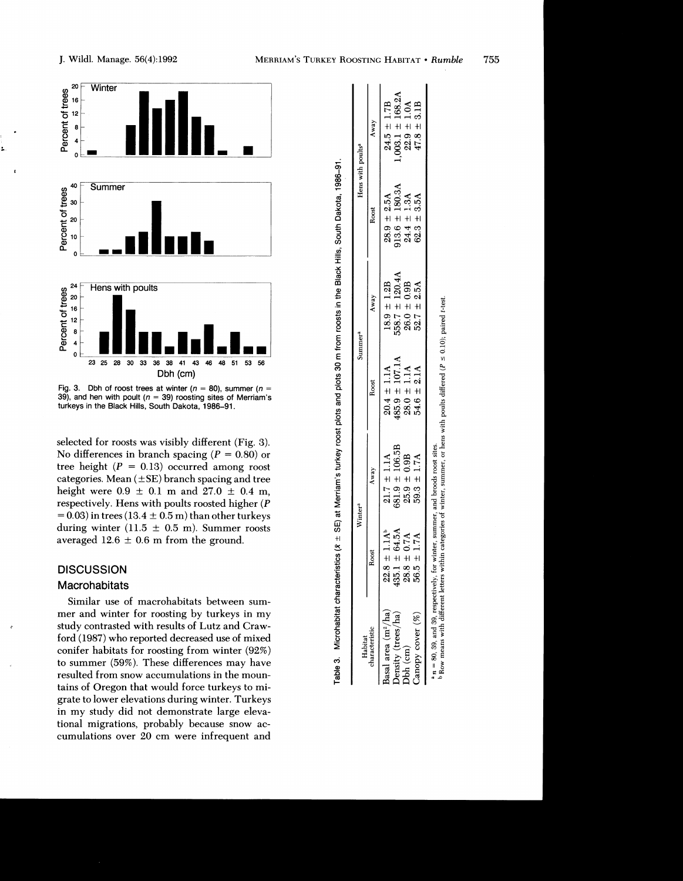

Fig. 3. Dbh of roost trees at winter ( $n = 80$ ), summer ( $n =$ 39), and hen with poult ( $n = 39$ ) roosting sites of Merriam's turkeys in the Black Hills, South Dakota, 1986-91.

selected for roosts was visibly different (Fig. 3). No differences in branch spacing ( $P = 0.80$ ) or tree height ( $P = 0.13$ ) occurred among roost categories. Mean  $(\pm SE)$  branch spacing and tree height were  $0.9 \pm 0.1$  m and  $27.0 \pm 0.4$  m, respectively. Hens with poults roosted higher (P  $= 0.03$ ) in trees (13.4  $\pm$  0.5 m) than other turkeys during winter  $(11.5 \pm 0.5 \text{ m})$ . Summer roosts averaged 12.6  $\pm$  0.6 m from the ground.

# **DISCUSSION**

# Macrohabitats

 $\overline{1}$ 

Similar use of macrohabitats between summer and winter for roosting by turkeys in my study contrasted with results of Lutz and Crawford (1987) who reported decreased use of mixed conifer habitats for roosting from winter (92%) to summer (59%). These differences may have resulted from snow accumulations in the mountains of Oregon that would force turkeys to migrate to lower elevations during winter. Turkeys in my study did not demonstrate large elevational migrations, probably because snow accumulations over 20 cm were infrequent and

| Habitat                             |                                                                  | Winter <sup>a</sup>                |                                                                             | Summer <sup>a</sup>                                             |                                                                              | Hens with poults <sup>a</sup>                             |
|-------------------------------------|------------------------------------------------------------------|------------------------------------|-----------------------------------------------------------------------------|-----------------------------------------------------------------|------------------------------------------------------------------------------|-----------------------------------------------------------|
| haracteristic                       | Roost                                                            | Away                               | Roost                                                                       | Away                                                            | Roost                                                                        | Away                                                      |
| sasal area (m <sup>2</sup> /ha)     |                                                                  |                                    |                                                                             |                                                                 |                                                                              | $24.5 \pm 1.7B$                                           |
|                                     |                                                                  | $21.7 \pm 1.1$ A<br>681.9 ± 106.5B |                                                                             |                                                                 |                                                                              |                                                           |
| <b>)ensity (trees/ha</b><br>bh (cm) | $22.8 \pm 1.1A^b$<br>435.1 ± 64.5A<br>28.8 ± 0.7A<br>56.5 ± 1.7A | $25.9 \pm 0.9B$<br>59.3 ± 1.7A     | $20.4 \pm 1.1A$<br>$485.9 \pm 107.1A$<br>$28.0 \pm 1.1A$<br>$54.6 \pm 2.1A$ | $18.9 \pm 1.2B$<br>558.7 ± 120.4A<br>26.0 ± 0.9B<br>52.7 ± 2.5A | $28.9 \pm 2.5$ A<br>913.6 $\pm$ 180.3A<br>24.4 $\pm$ 1.3A<br>62.3 $\pm$ 3.5A | $,003.1 \pm 168.2A$<br>$22.9 \pm 1.0A$<br>$47.8 \pm 3.1B$ |
| anopy cover (%                      |                                                                  |                                    |                                                                             |                                                                 |                                                                              |                                                           |

Table 3. Microhabitat characteristics (x  $\pm$  SE) at Merriam's turkey roost plots and plots 30 m from roosts in the Black Hills, South Dakota, 1986–91

Row means with different letters within categories of winter, summer, or hens with poults differed ( $P \le 0.10$ ); paired t-test. respectively, for winter, summer, and broods roost sites.  $n = 80$ , 39, and 39.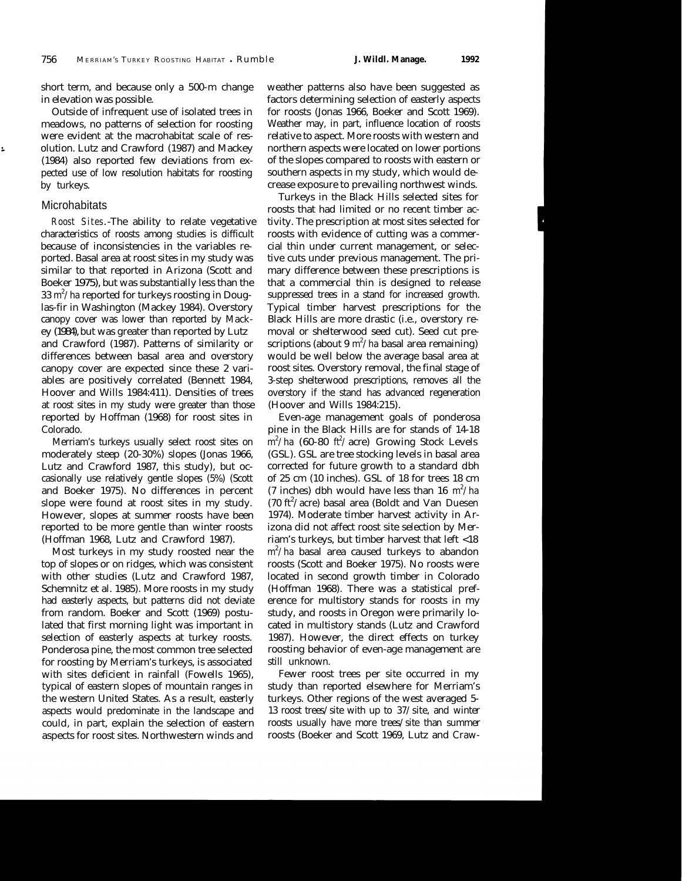short term, and because only a 500-m change in elevation was possible.

Outside of infrequent use of isolated trees in meadows, no patterns of selection for roosting were evident at the macrohabitat scale of resolution. Lutz and Crawford (1987) and Mackey (1984) also reported few deviations from expected use of low resolution habitats for roosting by turkeys.

## **Microhabitats**

*Roost Sites.* -The ability to relate vegetative characteristics of roosts among studies is difficult because of inconsistencies in the variables reported. Basal area at roost sites in my study was similar to that reported in Arizona (Scott and Boeker 1975), but was substantially less than the  $33 \text{ m}^2/\text{ha}$  reported for turkeys roosting in Douglas-fir in Washington (Mackey 1984). Overstory canopy cover was lower than reported by Mackey (1984), but was greater than reported by Lutz and Crawford (1987). Patterns of similarity or differences between basal area and overstory canopy cover are expected since these 2 variables are positively correlated (Bennett 1984, Hoover and Wills 1984:411). Densities of trees at roost sites in my study were greater than those reported by Hoffman (1968) for roost sites in Colorado.

Merriam's turkeys usually select roost sites on moderately steep (20-30%) slopes (Jonas 1966, Lutz and Crawford 1987, this study), but occasionally use relatively gentle slopes (5%) (Scott and Boeker 1975). No differences in percent slope were found at roost sites in my study. However, slopes at summer roosts have been reported to be more gentle than winter roosts (Hoffman 1968, Lutz and Crawford 1987).

Most turkeys in my study roosted near the top of slopes or on ridges, which was consistent with other studies (Lutz and Crawford 1987, Schemnitz et al. 1985). More roosts in my study had easterly aspects, but patterns did not deviate from random. Boeker and Scott (1969) postulated that first morning light was important in selection of easterly aspects at turkey roosts. Ponderosa pine, the most common tree selected for roosting by Merriam's turkeys, is associated with sites deficient in rainfall (Fowells 1965), typical of eastern slopes of mountain ranges in the western United States. As a result, easterly aspects would predominate in the landscape and could, in part, explain the selection of eastern aspects for roost sites. Northwestern winds and

weather patterns also have been suggested as factors determining selection of easterly aspects for roosts (Jonas 1966, Boeker and Scott 1969). Weather may, in part, influence location of roosts relative to aspect. More roosts with western and northern aspects were located on lower portions of the slopes compared to roosts with eastern or southern aspects in my study, which would decrease exposure to prevailing northwest winds.

Turkeys in the Black Hills selected sites for roosts that had limited or no recent timber activity. The prescription at most sites selected for roosts with evidence of cutting was a commercial thin under current management, or selective cuts under previous management. The primary difference between these prescriptions is that a commercial thin is designed to release suppressed trees in a stand for increased growth. Typical timber harvest prescriptions for the Black Hills are more drastic (i.e., overstory removal or shelterwood seed cut). Seed cut prescriptions (about 9 m<sup>2</sup>/ha basal area remaining) would be well below the average basal area at roost sites. Overstory removal, the final stage of 3-step shelterwood prescriptions, removes all the overstory if the stand has advanced regeneration (Hoover and Wills 1984:215).

Even-age management goals of ponderosa pine in the Black Hills are for stands of 14-18 m<sup>2</sup>/ha (60-80 ft<sup>2</sup>/acre) Growing Stock Levels (GSL). GSL are tree stocking levels in basal area corrected for future growth to a standard dbh of 25 cm (10 inches). GSL of 18 for trees 18 cm (7 inches) dbh would have less than 16  $m^2/ha$ (70 ft<sup>2</sup>/acre) basal area (Boldt and Van Duesen 1974). Moderate timber harvest activity in Arizona did not affect roost site selection by Merriam's turkeys, but timber harvest that left <18  $\text{m}^2/\text{ha}$  basal area caused turkeys to abandon roosts (Scott and Boeker 1975). No roosts were located in second growth timber in Colorado (Hoffman 1968). There was a statistical preference for multistory stands for roosts in my study, and roosts in Oregon were primarily located in multistory stands (Lutz and Crawford 1987). However, the direct effects on turkey roosting behavior of even-age management are still unknown.

Fewer roost trees per site occurred in my study than reported elsewhere for Merriam's turkeys. Other regions of the west averaged 5- 13 roost trees/site with up to 37/site, and winter roosts usually have more trees/site than summer roosts (Boeker and Scott 1969, Lutz and Craw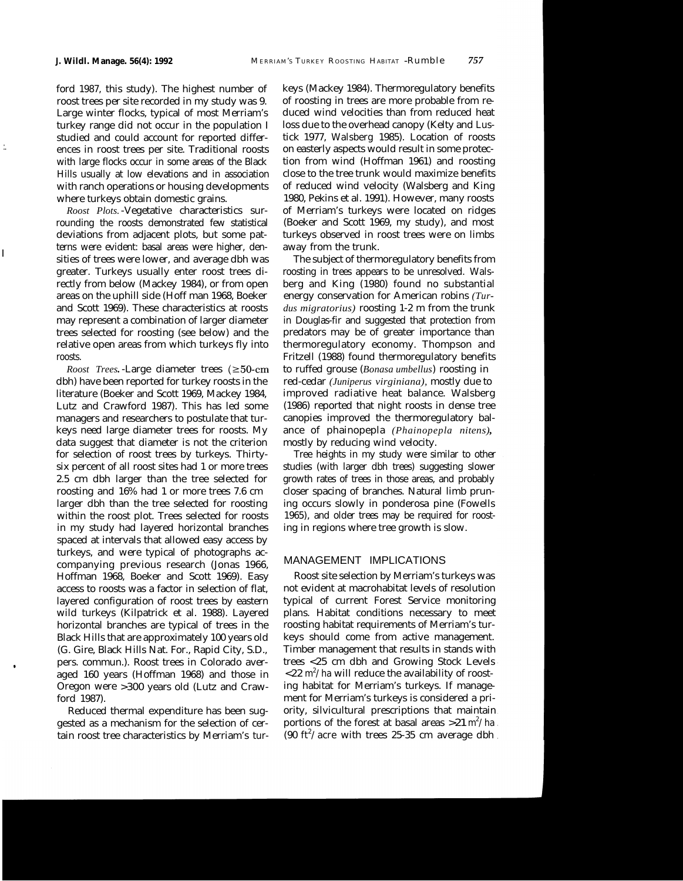I

ford 1987, this study). The highest number of roost trees per site recorded in my study was 9. Large winter flocks, typical of most Merriam's turkey range did not occur in the population I studied and could account for reported differ ences in roost trees per site. Traditional roosts with large flocks occur in some areas of the Black Hills usually at low elevations and in association with ranch operations or housing developments where turkeys obtain domestic grains.

*Roost Plots.*-Vegetative characteristics surrounding the roosts demonstrated few statistical deviations from adjacent plots, but some patterns were evident: basal areas were higher, densities of trees were lower, and average dbh was greater. Turkeys usually enter roost trees directly from below (Mackey 1984), or from open areas on the uphill side (Hoff man 1968, Boeker and Scott 1969). These characteristics at roosts may represent a combination of larger diameter trees selected for roosting (see below) and the relative open areas from which turkeys fly into roosts.

*Roost Trees.*-Large diameter trees (≥50-cm dbh) have been reported for turkey roosts in the literature (Boeker and Scott 1969, Mackey 1984, Lutz and Crawford 1987). This has led some managers and researchers to postulate that turkeys need large diameter trees for roosts. My data suggest that diameter is not the criterion for selection of roost trees by turkeys. Thirtysix percent of all roost sites had 1 or more trees 2.5 cm dbh larger than the tree selected for roosting and 16% had 1 or more trees 7.6 cm larger dbh than the tree selected for roosting within the roost plot. Trees selected for roosts in my study had layered horizontal branches spaced at intervals that allowed easy access by turkeys, and were typical of photographs accompanying previous research (Jonas 1966, Hoffman 1968, Boeker and Scott 1969). Easy access to roosts was a factor in selection of flat, layered configuration of roost trees by eastern wild turkeys (Kilpatrick et al. 1988). Layered horizontal branches are typical of trees in the Black Hills that are approximately 100 years old (G. Gire, Black Hills Nat. For., Rapid City, S.D., pers. commun.). Roost trees in Colorado averaged 160 years (Hoffman 1968) and those in Oregon were >300 years old (Lutz and Crawford 1987).

Reduced thermal expenditure has been suggested as a mechanism for the selection of certain roost tree characteristics by Merriam's turkeys (Mackey 1984). Thermoregulatory benefits of roosting in trees are more probable from reduced wind velocities than from reduced heat loss due to the overhead canopy (Kelty and Lustick 1977, Walsberg 1985). Location of roosts on easterly aspects would result in some protection from wind (Hoffman 1961) and roosting close to the tree trunk would maximize benefits of reduced wind velocity (Walsberg and King 1980, Pekins et al. 1991). However, many roosts of Merriam's turkeys were located on ridges (Boeker and Scott 1969, my study), and most turkeys observed in roost trees were on limbs away from the trunk.

The subject of thermoregulatory benefits from roosting in trees appears to be unresolved. Walsberg and King (1980) found no substantial energy conservation for American robins *(Turdus migratorius)* roosting 1-2 m from the trunk in Douglas-fir and suggested that protection from predators may be of greater importance than thermoregulatory economy. Thompson and Fritzell (1988) found thermoregulatory benefits to ruffed grouse (*Bonasa umbellus*) roosting in red-cedar *(Juniperus virginiana),* mostly due to improved radiative heat balance. Walsberg (1986) reported that night roosts in dense tree canopies improved the thermoregulatory balance of phainopepla *(Phainopepla nitens),* mostly by reducing wind velocity.

Tree heights in my study were similar to other studies (with larger dbh trees) suggesting slower growth rates of trees in those areas, and probably closer spacing of branches. Natural limb pruning occurs slowly in ponderosa pine (Fowells 1965), and older trees may be required for roosting in regions where tree growth is slow.

# MANAGEMENT IMPLICATIONS

Roost site selection by Merriam's turkeys was not evident at macrohabitat levels of resolution typical of current Forest Service monitoring plans. Habitat conditions necessary to meet roosting habitat requirements of Merriam's turkeys should come from active management. Timber management that results in stands with trees <25 cm dbh and Growing Stock Levels  ${<}22~{\rm m^2/h}$ a will reduce the availability of roosting habitat for Merriam's turkeys. If management for Merriam's turkeys is considered a priority, silvicultural prescriptions that maintain portions of the forest at basal areas  $>21 \text{ m}^2/\text{ha}$ (90 ft<sup>2</sup>/acre with trees 25-35 cm average dbh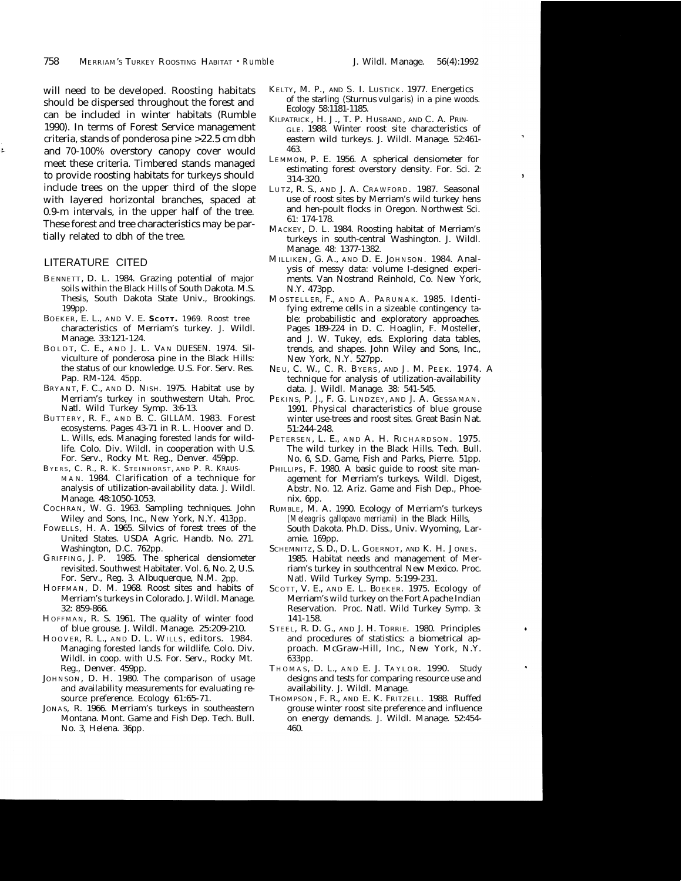should be dispersed throughout the forest and <sup>of the starling</sup> (Sturnus vulgaris) in a pine word of the starling vulgaris) in a pine word of the starling value of  $\Omega$  and  $\Omega$  in a pine word of the starling value of  $\Omega$ can be included in winter habitats (Rumble 1990). In terms of Forest Service management criteria, stands of ponderosa pine >22.5 cm dbh and 70-100% overstory canopy cover would meet these criteria. Timbered stands managed to provide roosting habitats for turkeys should include trees on the upper third of the slope with layered horizontal branches, spaced at 0.9-m intervals, in the upper half of the tree. These forest and tree characteristics may be partially related to dbh of the tree.

## LITERATURE CITED

- BENNETT, D. L. 1984. Grazing potential of major soils within the Black Hills of South Dakota. M.S. Thesis, South Dakota State Univ., Brookings. 199pp.
- BOEKER, E. L., AND V. E. **SCOTT.** 1969. Roost tree characteristics of Merriam's turkey. J. Wildl. Manage. 33:121-124.
- BOLDT, C. E., AND J. L. VAN DUESEN. 1974. Silviculture of ponderosa pine in the Black Hills: the status of our knowledge. U.S. For. Serv. Res. Pap. RM-124. 45pp.
- BRYANT, F. C., AND D. NISH. 1975. Habitat use by Merriam's turkey in southwestern Utah. Proc. Natl. Wild Turkey Symp. 3:6-13.
- B UTTERY , R. F., A ND B. C. GILLAM. 1983. Forest ecosystems. Pages 43-71 in R. L. Hoover and D. L. Wills, eds. Managing forested lands for wildlife. Colo. Div. Wildl. in cooperation with U.S. For. Serv., Rocky Mt. Reg., Denver. 459pp.
- B YERS, C. R., R. K. STEINHORST, AND P. R. KRAUS-MAN. 1984. Clarification of a technique for analysis of utilization-availability data. J. Wildl. Manage. 48:1050-1053.
- COCHRAN, W. G. 1963. Sampling techniques. John Wiley and Sons, Inc., New York, N.Y. 413pp.
- FOWELLS, H. A. 1965. Silvics of forest trees of the United States. USDA Agric. Handb. No. 271. Washington, D.C. 762pp.
- GRIFFING, J. P. 1985. The spherical densiometer revisited. Southwest Habitater. Vol. 6, No. 2, U.S. For. Serv., Reg. 3. Albuquerque, N.M. 2pp.
- HOFFMAN, D. M. 1968. Roost sites and habits of Merriam's turkeys in Colorado. J. Wildl. Manage. 32: 859-866.
- HOFFMAN, R. S. 1961. The quality of winter food of blue grouse. J. Wildl. Manage. 25:209-210.
- HOOVER, R. L., AND D. L. WILLS, editors. 1984. Managing forested lands for wildlife. Colo. Div. Wildl. in coop. with U.S. For. Serv., Rocky Mt. Reg., Denver. 459pp.
- JOHNSON, D. H. 1980. The comparison of usage and availability measurements for evaluating resource preference. Ecology 61:65-71.
- JONAS, R. 1966. Merriam's turkeys in southeastern Montana. Mont. Game and Fish Dep. Tech. Bull. No. 3, Helena. 36pp.
- will need to be developed. Roosting habitats KELTY, M. P., AND S. I. LUSTICK. 1977. Energetics should be dispersed throughout the forest and of the starling (Sturnus vulgaris) in a pine woods.
	- KILPATRICK , H. J., T. P. HUSBAND, AND C. A. PRIN-GLE. 1988. Winter roost site characteristics of eastern wild turkeys. J. Wildl. Manage. 52:461- 463.
	- LEMMON, P. E. 1956. A spherical densiometer for estimating forest overstory density. For. Sci. 2: 314-320.
	- LUTZ, R. S., AND J. A. CRAWFORD. 1987. Seasonal use of roost sites by Merriam's wild turkey hens and hen-poult flocks in Oregon. Northwest Sci. 61: 174-178.
	- MACKEY, D. L. 1984. Roosting habitat of Merriam's turkeys in south-central Washington. J. Wildl. Manage. 48: 1377-1382.
	- MILLIKEN, G. A., AND D. E. JOHNSON. 1984. Analysis of messy data: volume I-designed experiments. Van Nostrand Reinhold, Co. New York, N.Y. 473pp.
	- MOSTELLER, F., AND A. PARUNAK. 1985. Identifying extreme cells in a sizeable contingency table: probabilistic and exploratory approaches. Pages 189-224 in D. C. Hoaglin, F. Mosteller, and J. W. Tukey, eds. Exploring data tables, trends, and shapes. John Wiley and Sons, Inc., New York, N.Y. 527pp.
	- NE U, C. W., C. R. BYERS, AND J. M. PEEK. 1974. A technique for analysis of utilization-availability data. J. Wildl. Manage. 38: 541-545.
	- PEKINS, P. J., F. G. LINDZEY, AND J. A. GESSAMAN. 1991. Physical characteristics of blue grouse winter use-trees and roost sites. Great Basin Nat. 51:244-248.
	- PETERSEN, L. E., AND A. H. RICHARDSON. 1975. The wild turkey in the Black Hills. Tech. Bull. No. 6, S.D. Game, Fish and Parks, Pierre. 51pp.
	- PHILLIPS, F. 1980. A basic guide to roost site management for Merriam's turkeys. Wildl. Digest, Abstr. No. 12. Ariz. Game and Fish Dep., Phoenix. 6pp.
	- RUMBLE, M. A. 1990. Ecology of Merriam's turkeys *(Meleagris gallopavo merriami)* in the Black Hills, South Dakota. Ph.D. Diss., Univ. Wyoming, Laramie. 169pp.
	- SCHEMNITZ, S. D., D. L. GOERNDT, AND K. H. JONES. 1985. Habitat needs and management of Merriam's turkey in southcentral New Mexico. Proc. Natl. Wild Turkey Symp. 5:199-231.
	- SCOTT, V. E., AND E. L. BOEKER. 1975. Ecology of Merriam's wild turkey on the Fort Apache Indian Reservation. Proc. Natl. Wild Turkey Symp. 3: 141-158.
	- STEEL, R. D. G., AND J. H. TORRIE. 1980. Principles and procedures of statistics: a biometrical approach. McGraw-Hill, Inc., New York, N.Y. 633pp.
	- THOMAS, D. L., AND E. J. TAYLOR. 1990. Study designs and tests for comparing resource use and availability. J. Wildl. Manage.
	- THOMPSON , F. R., AND E. K. FRITZELL. 1988. Ruffed grouse winter roost site preference and influence on energy demands. J. Wildl. Manage. 52:454- 460.

 $\mathbf{r}$